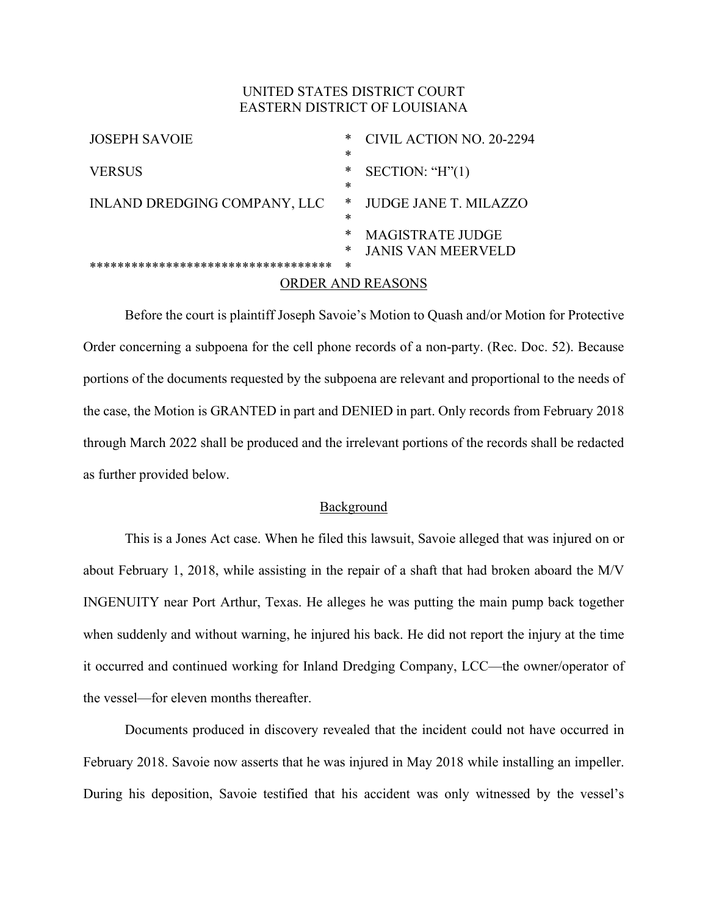# UNITED STATES DISTRICT COURT EASTERN DISTRICT OF LOUISIANA

| <b>JOSEPH SAVOIE</b>                 | *      | CIVIL ACTION NO. 20-2294 |
|--------------------------------------|--------|--------------------------|
|                                      | $\ast$ |                          |
| <b>VERSUS</b>                        | *      | SECTION: " $H$ " $(1)$   |
|                                      | *      |                          |
| INLAND DREDGING COMPANY, LLC         | ∗      | JUDGE JANE T. MILAZZO    |
|                                      | ж      |                          |
|                                      | *      | <b>MAGISTRATE JUDGE</b>  |
|                                      | ∗      | JANIS VAN MEERVELD       |
| ************************************ | ∗      |                          |
| ORDER AND REASONS                    |        |                          |

Before the court is plaintiff Joseph Savoie's Motion to Quash and/or Motion for Protective Order concerning a subpoena for the cell phone records of a non-party. (Rec. Doc. 52). Because portions of the documents requested by the subpoena are relevant and proportional to the needs of the case, the Motion is GRANTED in part and DENIED in part. Only records from February 2018 through March 2022 shall be produced and the irrelevant portions of the records shall be redacted as further provided below.

## Background

This is a Jones Act case. When he filed this lawsuit, Savoie alleged that was injured on or about February 1, 2018, while assisting in the repair of a shaft that had broken aboard the M/V INGENUITY near Port Arthur, Texas. He alleges he was putting the main pump back together when suddenly and without warning, he injured his back. He did not report the injury at the time it occurred and continued working for Inland Dredging Company, LCC—the owner/operator of the vessel—for eleven months thereafter.

Documents produced in discovery revealed that the incident could not have occurred in February 2018. Savoie now asserts that he was injured in May 2018 while installing an impeller. During his deposition, Savoie testified that his accident was only witnessed by the vessel's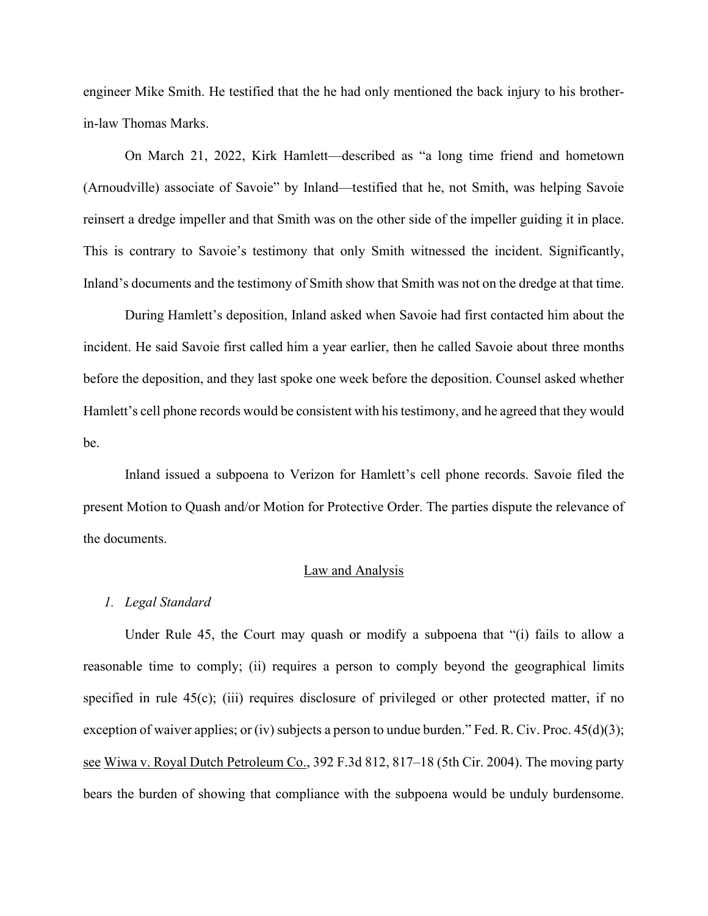engineer Mike Smith. He testified that the he had only mentioned the back injury to his brotherin-law Thomas Marks.

On March 21, 2022, Kirk Hamlett—described as "a long time friend and hometown (Arnoudville) associate of Savoie" by Inland—testified that he, not Smith, was helping Savoie reinsert a dredge impeller and that Smith was on the other side of the impeller guiding it in place. This is contrary to Savoie's testimony that only Smith witnessed the incident. Significantly, Inland's documents and the testimony of Smith show that Smith was not on the dredge at that time.

During Hamlett's deposition, Inland asked when Savoie had first contacted him about the incident. He said Savoie first called him a year earlier, then he called Savoie about three months before the deposition, and they last spoke one week before the deposition. Counsel asked whether Hamlett's cell phone records would be consistent with his testimony, and he agreed that they would be.

Inland issued a subpoena to Verizon for Hamlett's cell phone records. Savoie filed the present Motion to Quash and/or Motion for Protective Order. The parties dispute the relevance of the documents.

### Law and Analysis

#### *1. Legal Standard*

Under Rule 45, the Court may quash or modify a subpoena that "(i) fails to allow a reasonable time to comply; (ii) requires a person to comply beyond the geographical limits specified in rule 45(c); (iii) requires disclosure of privileged or other protected matter, if no exception of waiver applies; or (iv) subjects a person to undue burden." Fed. R. Civ. Proc.  $45(d)(3)$ ; see Wiwa v. Royal Dutch Petroleum Co., 392 F.3d 812, 817–18 (5th Cir. 2004). The moving party bears the burden of showing that compliance with the subpoena would be unduly burdensome.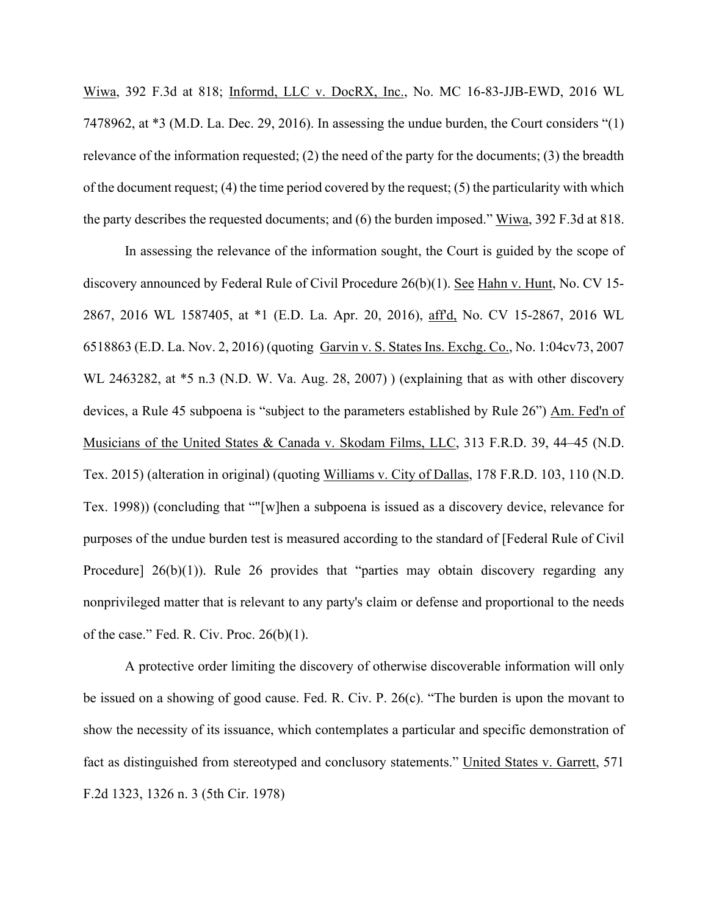Wiwa, 392 F.3d at 818; Informd, LLC v. DocRX, Inc., No. MC 16-83-JJB-EWD, 2016 WL 7478962, at \*3 (M.D. La. Dec. 29, 2016). In assessing the undue burden, the Court considers "(1) relevance of the information requested; (2) the need of the party for the documents; (3) the breadth of the document request; (4) the time period covered by the request; (5) the particularity with which the party describes the requested documents; and (6) the burden imposed." Wiwa, 392 F.3d at 818.

In assessing the relevance of the information sought, the Court is guided by the scope of discovery announced by Federal Rule of Civil Procedure 26(b)(1). See Hahn v. Hunt, No. CV 15- 2867, 2016 WL 1587405, at \*1 (E.D. La. Apr. 20, 2016), aff'd, No. CV 15-2867, 2016 WL 6518863 (E.D. La. Nov. 2, 2016) (quoting Garvin v. S. States Ins. Exchg. Co., No. 1:04cv73, 2007 WL 2463282, at  $*5$  n.3 (N.D. W. Va. Aug. 28, 2007)) (explaining that as with other discovery devices, a Rule 45 subpoena is "subject to the parameters established by Rule 26") Am. Fed'n of Musicians of the United States & Canada v. Skodam Films, LLC, 313 F.R.D. 39, 44–45 (N.D. Tex. 2015) (alteration in original) (quoting Williams v. City of Dallas, 178 F.R.D. 103, 110 (N.D. Tex. 1998)) (concluding that ""[w]hen a subpoena is issued as a discovery device, relevance for purposes of the undue burden test is measured according to the standard of [Federal Rule of Civil Procedure] 26(b)(1)). Rule 26 provides that "parties may obtain discovery regarding any nonprivileged matter that is relevant to any party's claim or defense and proportional to the needs of the case." Fed. R. Civ. Proc.  $26(b)(1)$ .

A protective order limiting the discovery of otherwise discoverable information will only be issued on a showing of good cause. Fed. R. Civ. P. 26(c). "The burden is upon the movant to show the necessity of its issuance, which contemplates a particular and specific demonstration of fact as distinguished from stereotyped and conclusory statements." United States v. Garrett, 571 F.2d 1323, 1326 n. 3 (5th Cir. 1978)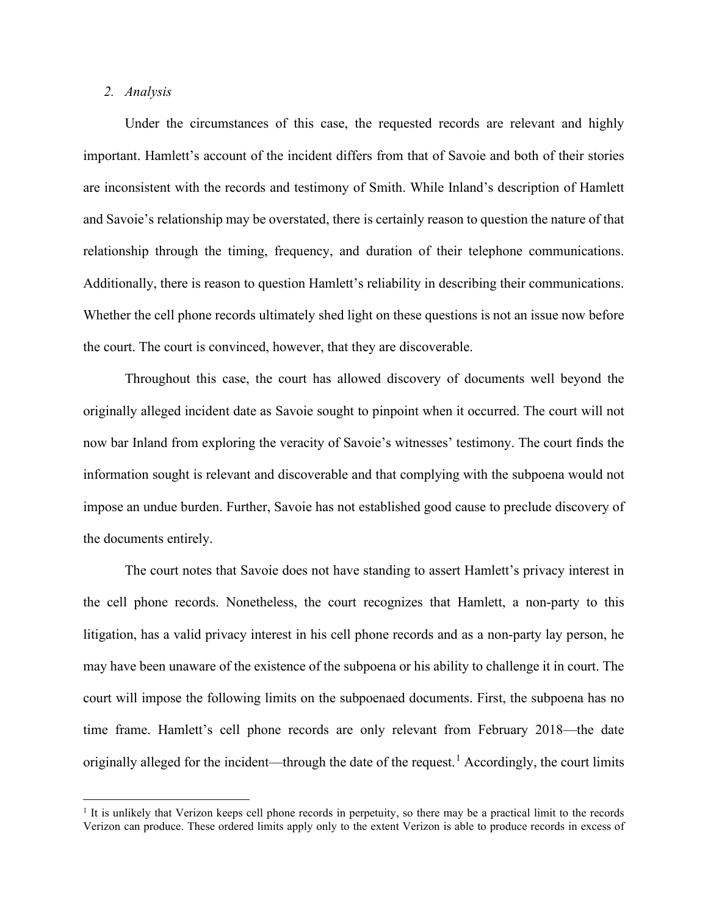## *2. Analysis*

Under the circumstances of this case, the requested records are relevant and highly important. Hamlett's account of the incident differs from that of Savoie and both of their stories are inconsistent with the records and testimony of Smith. While Inland's description of Hamlett and Savoie's relationship may be overstated, there is certainly reason to question the nature of that relationship through the timing, frequency, and duration of their telephone communications. Additionally, there is reason to question Hamlett's reliability in describing their communications. Whether the cell phone records ultimately shed light on these questions is not an issue now before the court. The court is convinced, however, that they are discoverable.

Throughout this case, the court has allowed discovery of documents well beyond the originally alleged incident date as Savoie sought to pinpoint when it occurred. The court will not now bar Inland from exploring the veracity of Savoie's witnesses' testimony. The court finds the information sought is relevant and discoverable and that complying with the subpoena would not impose an undue burden. Further, Savoie has not established good cause to preclude discovery of the documents entirely.

The court notes that Savoie does not have standing to assert Hamlett's privacy interest in the cell phone records. Nonetheless, the court recognizes that Hamlett, a non-party to this litigation, has a valid privacy interest in his cell phone records and as a non-party lay person, he may have been unaware of the existence of the subpoena or his ability to challenge it in court. The court will impose the following limits on the subpoenaed documents. First, the subpoena has no time frame. Hamlett's cell phone records are only relevant from February 2018—the date originally alleged for the incident—through the date of the request.<sup>1</sup> Accordingly, the court limits

 $<sup>1</sup>$  It is unlikely that Verizon keeps cell phone records in perpetuity, so there may be a practical limit to the records</sup> Verizon can produce. These ordered limits apply only to the extent Verizon is able to produce records in excess of